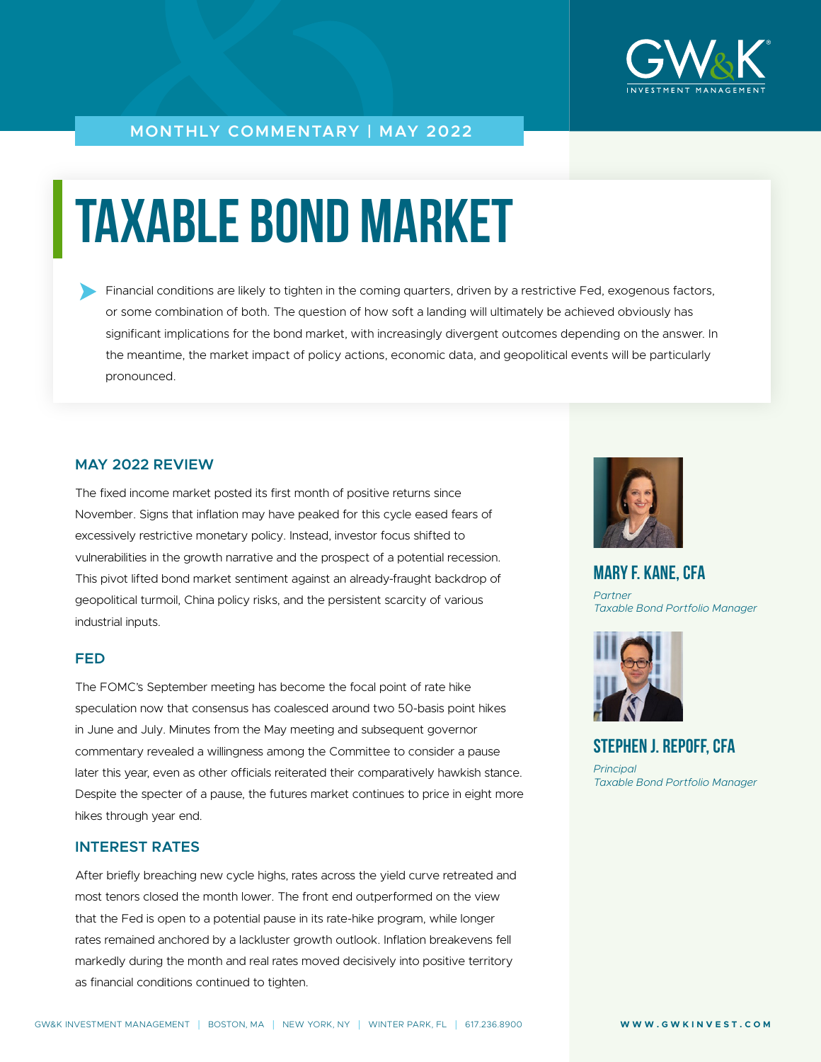

#### **MONTHLY COMMENTARY | MAY 2022**

# **TAXABLE BOND MARKET**

Financial conditions are likely to tighten in the coming quarters, driven by a restrictive Fed, exogenous factors, or some combination of both. The question of how soft a landing will ultimately be achieved obviously has significant implications for the bond market, with increasingly divergent outcomes depending on the answer. In the meantime, the market impact of policy actions, economic data, and geopolitical events will be particularly pronounced.

#### **MAY 2022 REVIEW**

The fixed income market posted its first month of positive returns since November. Signs that inflation may have peaked for this cycle eased fears of excessively restrictive monetary policy. Instead, investor focus shifted to vulnerabilities in the growth narrative and the prospect of a potential recession. This pivot lifted bond market sentiment against an already-fraught backdrop of geopolitical turmoil, China policy risks, and the persistent scarcity of various industrial inputs.

#### **FED**

The FOMC's September meeting has become the focal point of rate hike speculation now that consensus has coalesced around two 50-basis point hikes in June and July. Minutes from the May meeting and subsequent governor commentary revealed a willingness among the Committee to consider a pause later this year, even as other officials reiterated their comparatively hawkish stance. Despite the specter of a pause, the futures market continues to price in eight more hikes through year end.

#### **INTEREST RATES**

After briefly breaching new cycle highs, rates across the yield curve retreated and most tenors closed the month lower. The front end outperformed on the view that the Fed is open to a potential pause in its rate-hike program, while longer rates remained anchored by a lackluster growth outlook. Inflation breakevens fell markedly during the month and real rates moved decisively into positive territory as financial conditions continued to tighten.



**MARY F. KANE, CFA** *Partner Taxable Bond Portfolio Manager*



**STEPHEN J. REPOFF, CFA** *Principal Taxable Bond Portfolio Manager*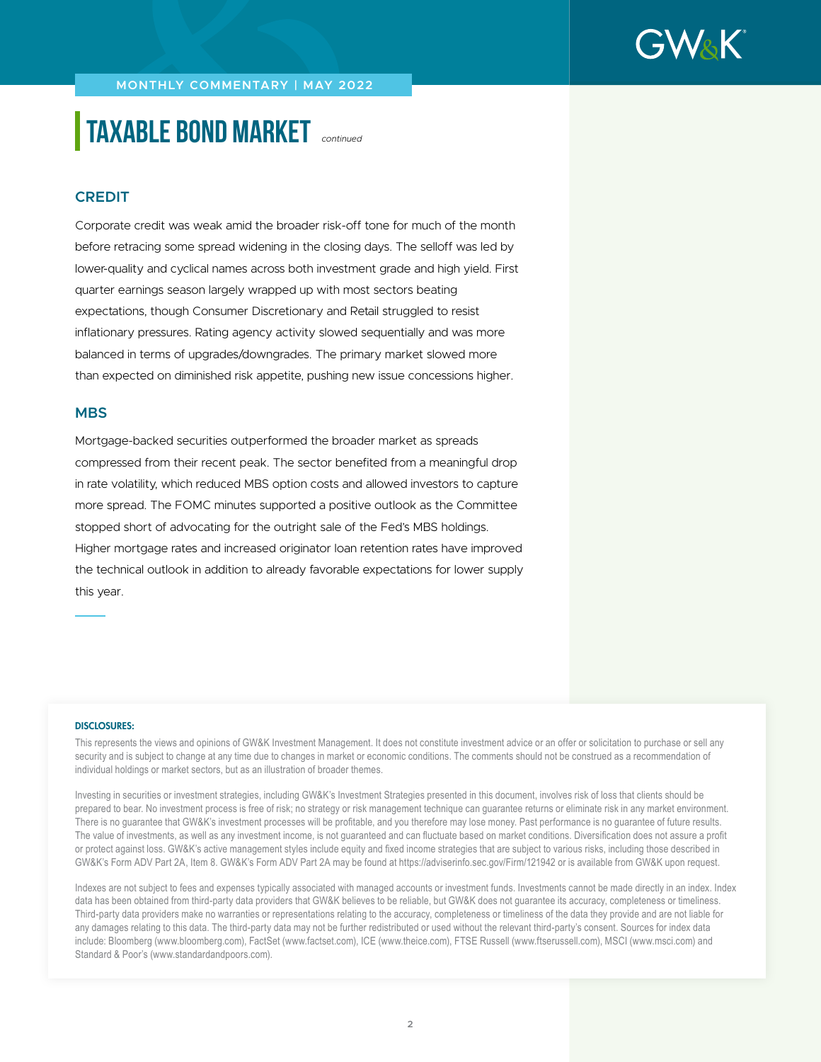

**MONTHLY COMMENTARY | MAY 2022**

# **TAXABLE BOND MARKET** *continued*

#### **CREDIT**

Corporate credit was weak amid the broader risk-off tone for much of the month before retracing some spread widening in the closing days. The selloff was led by lower-quality and cyclical names across both investment grade and high yield. First quarter earnings season largely wrapped up with most sectors beating expectations, though Consumer Discretionary and Retail struggled to resist inflationary pressures. Rating agency activity slowed sequentially and was more balanced in terms of upgrades/downgrades. The primary market slowed more than expected on diminished risk appetite, pushing new issue concessions higher.

#### **MBS**

Mortgage-backed securities outperformed the broader market as spreads compressed from their recent peak. The sector benefited from a meaningful drop in rate volatility, which reduced MBS option costs and allowed investors to capture more spread. The FOMC minutes supported a positive outlook as the Committee stopped short of advocating for the outright sale of the Fed's MBS holdings. Higher mortgage rates and increased originator loan retention rates have improved the technical outlook in addition to already favorable expectations for lower supply this year.

#### DISCLOSURES:

This represents the views and opinions of GW&K Investment Management. It does not constitute investment advice or an offer or solicitation to purchase or sell any security and is subject to change at any time due to changes in market or economic conditions. The comments should not be construed as a recommendation of individual holdings or market sectors, but as an illustration of broader themes.

Investing in securities or investment strategies, including GW&K's Investment Strategies presented in this document, involves risk of loss that clients should be prepared to bear. No investment process is free of risk; no strategy or risk management technique can guarantee returns or eliminate risk in any market environment. There is no guarantee that GW&K's investment processes will be profitable, and you therefore may lose money. Past performance is no guarantee of future results. The value of investments, as well as any investment income, is not guaranteed and can fluctuate based on market conditions. Diversification does not assure a profit or protect against loss. GW&K's active management styles include equity and fixed income strategies that are subject to various risks, including those described in GW&K's Form ADV Part 2A, Item 8. GW&K's Form ADV Part 2A may be found at https://adviserinfo.sec.gov/Firm/121942 or is available from GW&K upon request.

Indexes are not subject to fees and expenses typically associated with managed accounts or investment funds. Investments cannot be made directly in an index. Index data has been obtained from third-party data providers that GW&K believes to be reliable, but GW&K does not guarantee its accuracy, completeness or timeliness. Third-party data providers make no warranties or representations relating to the accuracy, completeness or timeliness of the data they provide and are not liable for any damages relating to this data. The third-party data may not be further redistributed or used without the relevant third-party's consent. Sources for index data include: Bloomberg (www.bloomberg.com), FactSet (www.factset.com), ICE (www.theice.com), FTSE Russell (www.ftserussell.com), MSCI (www.msci.com) and Standard & Poor's (www.standardandpoors.com).